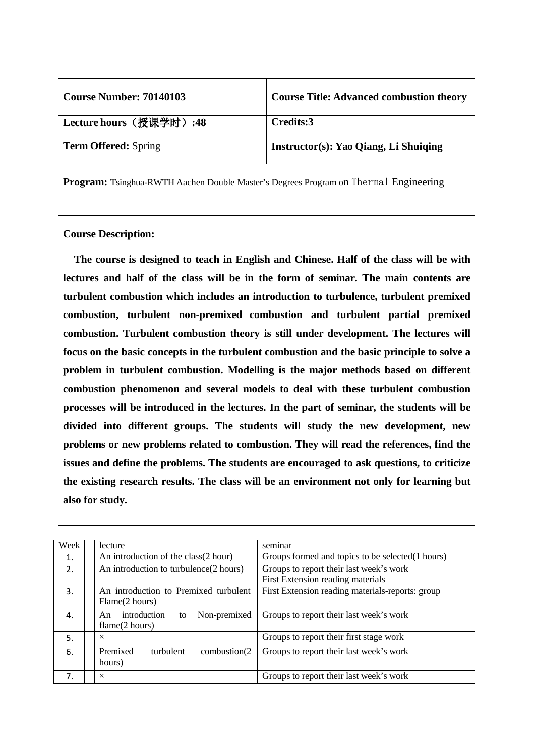| <b>Course Number: 70140103</b> | <b>Course Title: Advanced combustion theory</b> |
|--------------------------------|-------------------------------------------------|
| ' Lecture hours(授课学时):48       | Credits:3                                       |
| <b>Term Offered:</b> Spring    | Instructor(s): Yao Qiang, Li Shuiqing           |

### **Course Description:**

**The course is designed to teach in English and Chinese. Half of the class will be with lectures and half of the class will be in the form of seminar. The main contents are turbulent combustion which includes an introduction to turbulence, turbulent premixed combustion, turbulent non-premixed combustion and turbulent partial premixed combustion. Turbulent combustion theory is still under development. The lectures will focus on the basic concepts in the turbulent combustion and the basic principle to solve a problem in turbulent combustion. Modelling is the major methods based on different combustion phenomenon and several models to deal with these turbulent combustion processes will be introduced in the lectures. In the part of seminar, the students will be divided into different groups. The students will study the new development, new problems or new problems related to combustion. They will read the references, find the issues and define the problems. The students are encouraged to ask questions, to criticize the existing research results. The class will be an environment not only for learning but also for study.**

| Week | lecture                                                    | seminar                                                                      |
|------|------------------------------------------------------------|------------------------------------------------------------------------------|
| 1.   | An introduction of the class(2 hour)                       | Groups formed and topics to be selected (1 hours)                            |
| 2.   | An introduction to turbulence(2 hours)                     | Groups to report their last week's work<br>First Extension reading materials |
| 3.   | An introduction to Premixed turbulent<br>Flame(2 hours)    | First Extension reading materials-reports: group                             |
| 4.   | introduction<br>Non-premixed<br>An<br>to<br>flame(2 hours) | Groups to report their last week's work                                      |
| 5.   | $\times$                                                   | Groups to report their first stage work                                      |
| 6.   | Premixed<br>turbulent<br>combustion(2)<br>hours)           | Groups to report their last week's work                                      |
| 7.   | $\times$                                                   | Groups to report their last week's work                                      |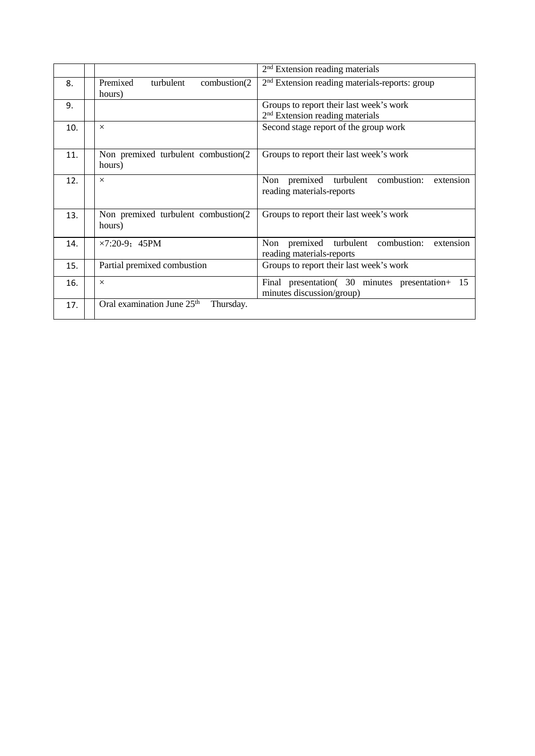|     |                                                     | $2nd$ Extension reading materials                                                      |
|-----|-----------------------------------------------------|----------------------------------------------------------------------------------------|
| 8.  | Premixed<br>combustion(2)<br>turbulent<br>hours)    | 2 <sup>nd</sup> Extension reading materials-reports: group                             |
| 9.  |                                                     | Groups to report their last week's work<br>2 <sup>nd</sup> Extension reading materials |
| 10. | $\times$                                            | Second stage report of the group work                                                  |
| 11. | Non premixed turbulent combustion(2)<br>hours)      | Groups to report their last week's work                                                |
| 12. | $\times$                                            | premixed<br>turbulent<br>combustion:<br>Non<br>extension<br>reading materials-reports  |
| 13. | Non premixed turbulent combustion(2<br>hours)       | Groups to report their last week's work                                                |
| 14. | $\times 7:20-9$ ; 45PM                              | turbulent combustion:<br>extension<br>Non premixed<br>reading materials-reports        |
| 15. | Partial premixed combustion                         | Groups to report their last week's work                                                |
| 16. | $\times$                                            | Final presentation (30 minutes presentation + 15<br>minutes discussion/group)          |
| 17. | Oral examination June 25 <sup>th</sup><br>Thursday. |                                                                                        |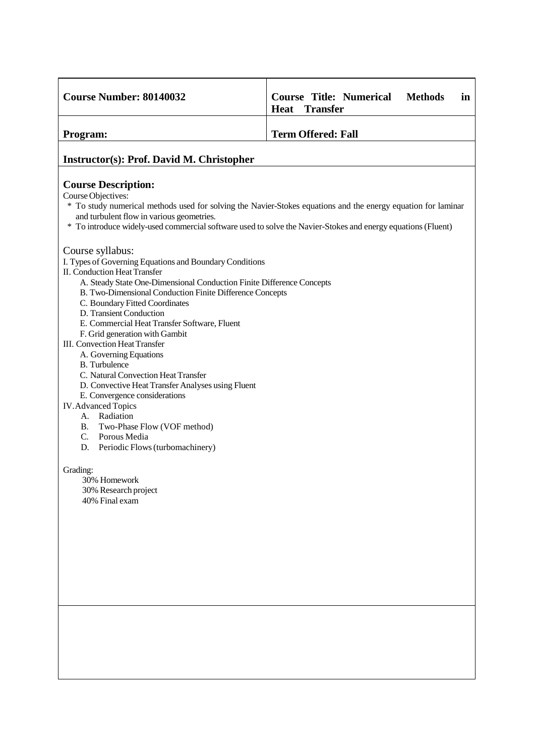| <b>Course Number: 80140032</b>                                                                                                                                                                                                                                                                                                                                                                         | <b>Course Title: Numerical</b><br><b>Methods</b><br>in<br><b>Heat</b><br><b>Transfer</b> |
|--------------------------------------------------------------------------------------------------------------------------------------------------------------------------------------------------------------------------------------------------------------------------------------------------------------------------------------------------------------------------------------------------------|------------------------------------------------------------------------------------------|
| Program:                                                                                                                                                                                                                                                                                                                                                                                               | <b>Term Offered: Fall</b>                                                                |
| <b>Instructor(s): Prof. David M. Christopher</b>                                                                                                                                                                                                                                                                                                                                                       |                                                                                          |
| <b>Course Description:</b><br>Course Objectives:<br>* To study numerical methods used for solving the Navier-Stokes equations and the energy equation for laminar<br>and turbulent flow in various geometries.<br>* To introduce widely-used commercial software used to solve the Navier-Stokes and energy equations (Fluent)                                                                         |                                                                                          |
| Course syllabus:<br>I. Types of Governing Equations and Boundary Conditions<br><b>II. Conduction Heat Transfer</b><br>A. Steady State One-Dimensional Conduction Finite Difference Concepts<br>B. Two-Dimensional Conduction Finite Difference Concepts<br>C. Boundary Fitted Coordinates<br>D. Transient Conduction<br>E. Commercial Heat Transfer Software, Fluent<br>F. Grid generation with Gambit |                                                                                          |
| <b>III.</b> Convection Heat Transfer<br>A. Governing Equations<br><b>B.</b> Turbulence<br>C. Natural Convection Heat Transfer<br>D. Convective Heat Transfer Analyses using Fluent<br>E. Convergence considerations                                                                                                                                                                                    |                                                                                          |
| <b>IV.</b> Advanced Topics<br>Radiation<br>А.<br>Two-Phase Flow (VOF method)<br>В.<br>$C_{\cdot}$<br>Porous Media<br>D.<br>Periodic Flows (turbomachinery)                                                                                                                                                                                                                                             |                                                                                          |
| Grading:<br>30% Homework<br>30% Research project<br>40% Final exam                                                                                                                                                                                                                                                                                                                                     |                                                                                          |
|                                                                                                                                                                                                                                                                                                                                                                                                        |                                                                                          |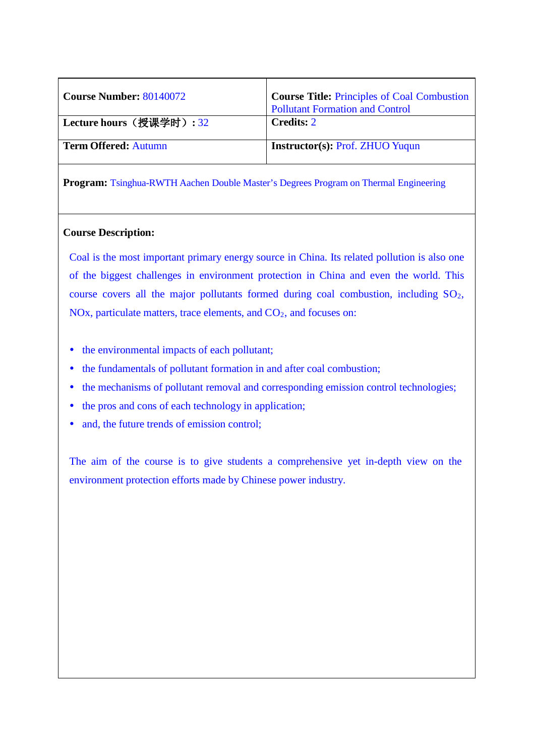| <b>Course Number: 80140072</b> | <b>Course Title: Principles of Coal Combustion</b><br><b>Pollutant Formation and Control</b> |
|--------------------------------|----------------------------------------------------------------------------------------------|
| Lecture hours (授课学时): 32       | <b>Credits: 2</b>                                                                            |
| <b>Term Offered: Autumn</b>    | <b>Instructor(s): Prof. ZHUO Yuqun</b>                                                       |

### **Course Description:**

Coal is the most important primary energy source in China. Its related pollution is also one of the biggest challenges in environment protection in China and even the world. This course covers all the major pollutants formed during coal combustion, including SO2, NOx, particulate matters, trace elements, and CO<sub>2</sub>, and focuses on:

- the environmental impacts of each pollutant;
- the fundamentals of pollutant formation in and after coal combustion;
- the mechanisms of pollutant removal and corresponding emission control technologies;
- the pros and cons of each technology in application;
- and, the future trends of emission control;

The aim of the course is to give students a comprehensive yet in-depth view on the environment protection efforts made by Chinese power industry.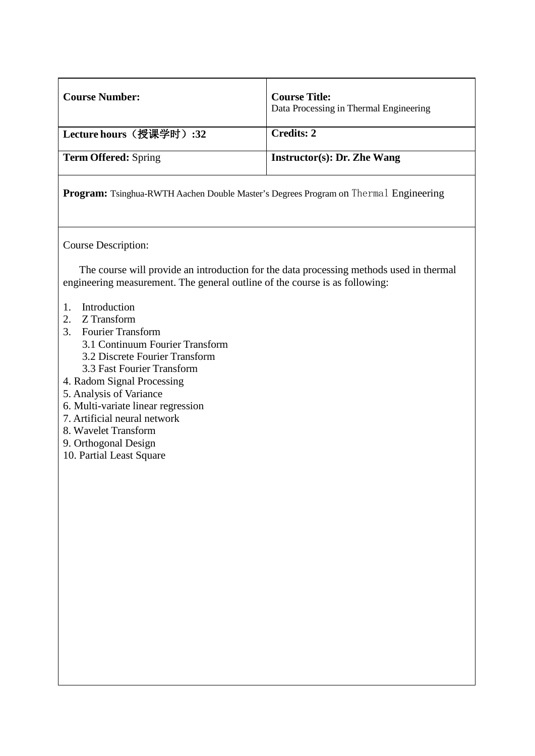| <b>Course Number:</b>                                                                                                                                                                                                                                                                                                                                                                                                                                                                                        | <b>Course Title:</b><br>Data Processing in Thermal Engineering |
|--------------------------------------------------------------------------------------------------------------------------------------------------------------------------------------------------------------------------------------------------------------------------------------------------------------------------------------------------------------------------------------------------------------------------------------------------------------------------------------------------------------|----------------------------------------------------------------|
| Lecture hours (授课学时): 32                                                                                                                                                                                                                                                                                                                                                                                                                                                                                     | <b>Credits: 2</b>                                              |
| <b>Term Offered: Spring</b>                                                                                                                                                                                                                                                                                                                                                                                                                                                                                  | <b>Instructor(s): Dr. Zhe Wang</b>                             |
| <b>Program:</b> Tsinghua-RWTH Aachen Double Master's Degrees Program on Thermal Engineering                                                                                                                                                                                                                                                                                                                                                                                                                  |                                                                |
| Course Description:<br>The course will provide an introduction for the data processing methods used in thermal<br>engineering measurement. The general outline of the course is as following:<br>Introduction<br>1.<br>Z Transform<br>2.<br><b>Fourier Transform</b><br>3.<br>3.1 Continuum Fourier Transform<br>3.2 Discrete Fourier Transform<br>3.3 Fast Fourier Transform<br>4. Radom Signal Processing<br>5. Analysis of Variance<br>6. Multi-variate linear regression<br>7. Artificial neural network |                                                                |
| 8. Wavelet Transform<br>9. Orthogonal Design<br>10. Partial Least Square                                                                                                                                                                                                                                                                                                                                                                                                                                     |                                                                |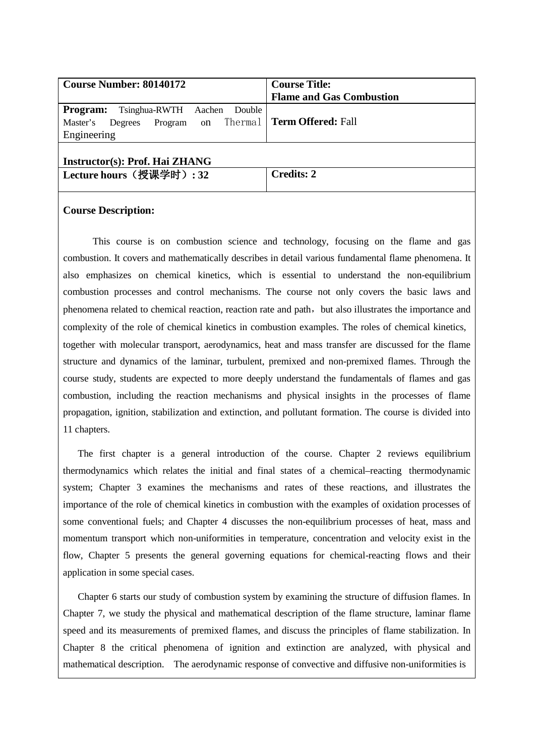| <b>Course Number: 80140172</b>                                                                                   | <b>Course Title:</b>            |
|------------------------------------------------------------------------------------------------------------------|---------------------------------|
|                                                                                                                  | <b>Flame and Gas Combustion</b> |
| <b>Program:</b><br>Tsinghua-RWTH Aachen<br>Double<br>Program on Thermal   Term Offered: Fall<br>Master's Degrees |                                 |
| Engineering                                                                                                      |                                 |
| Instructor(s): Prof. Hai ZHANG                                                                                   |                                 |
| Lecture hours (授课学时): 32                                                                                         | <b>Credits: 2</b>               |
|                                                                                                                  |                                 |

This course is on combustion science and technology, focusing on the flame and gas combustion. It covers and mathematically describes in detail various fundamental flame phenomena. It also emphasizes on chemical kinetics, which is essential to understand the non-equilibrium combustion processes and control mechanisms. The course not only covers the basic laws and phenomena related to chemical reaction, reaction rate and path, but also illustrates the importance and complexity of the role of chemical kinetics in combustion examples. The roles of chemical kinetics, together with molecular transport, aerodynamics, heat and mass transfer are discussed for the flame structure and dynamics of the laminar, turbulent, premixed and non-premixed flames. Through the course study, students are expected to more deeply understand the fundamentals of flames and gas combustion, including the reaction mechanisms and physical insights in the processes of flame propagation, ignition, stabilization and extinction, and pollutant formation. The course is divided into 11 chapters.

The first chapter is a general introduction of the course. Chapter 2 reviews equilibrium thermodynamics which relates the initial and final states of a chemical–reacting thermodynamic system; Chapter 3 examines the mechanisms and rates of these reactions, and illustrates the importance of the role of chemical kinetics in combustion with the examples of oxidation processes of some conventional fuels; and Chapter 4 discusses the non-equilibrium processes of heat, mass and momentum transport which non-uniformities in temperature, concentration and velocity exist in the flow, Chapter 5 presents the general governing equations for chemical-reacting flows and their application in some special cases.

Chapter 6 starts our study of combustion system by examining the structure of diffusion flames. In Chapter 7, we study the physical and mathematical description of the flame structure, laminar flame speed and its measurements of premixed flames, and discuss the principles of flame stabilization. In Chapter 8 the critical phenomena of ignition and extinction are analyzed, with physical and mathematical description. The aerodynamic response of convective and diffusive non-uniformities is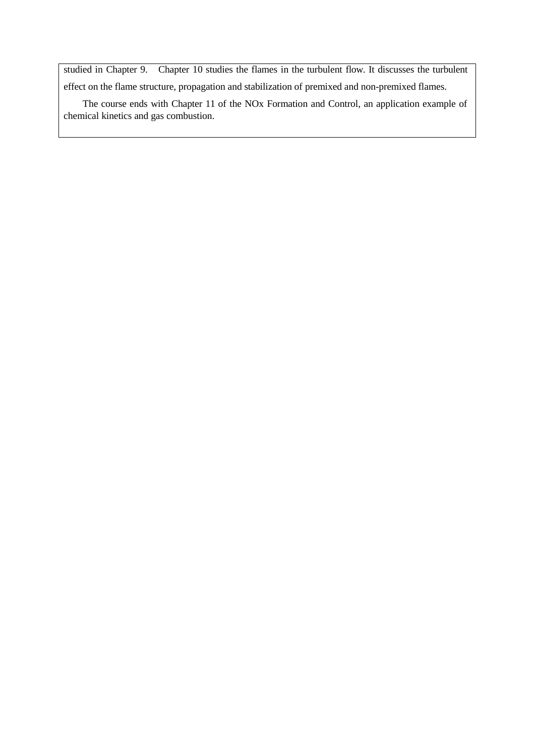studied in Chapter 9. Chapter 10 studies the flames in the turbulent flow. It discusses the turbulent effect on the flame structure, propagation and stabilization of premixed and non-premixed flames.

The course ends with Chapter 11 of the NOx Formation and Control, an application example of chemical kinetics and gas combustion.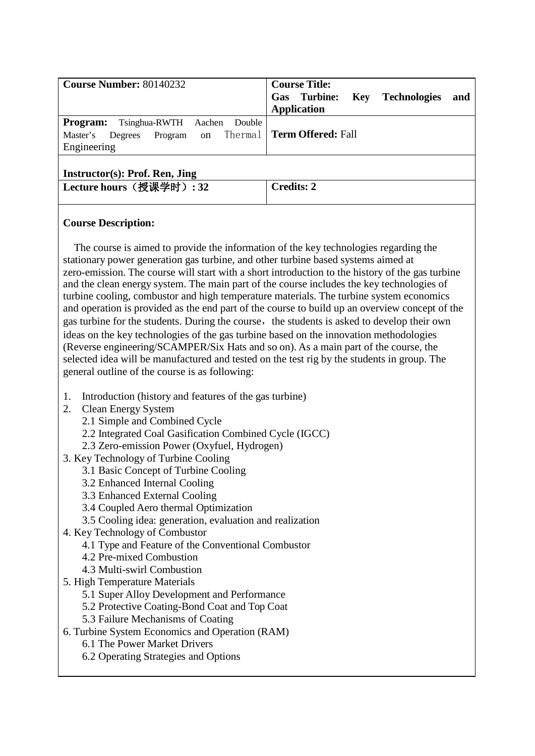| <b>Course Number: 80140232</b>                                                                                   | <b>Course Title:</b><br>Turbine:<br><b>Technologies</b><br><b>Key</b><br>Gas<br>and<br><b>Application</b> |
|------------------------------------------------------------------------------------------------------------------|-----------------------------------------------------------------------------------------------------------|
| <b>Program:</b><br>Tsinghua-RWTH<br>Aachen<br>Double<br>Program on Thermal<br>Master's<br>Degrees<br>Engineering | <b>Term Offered: Fall</b>                                                                                 |
| Instructor(s): Prof. Ren, Jing<br>Lecture hours (授课学时): 32                                                       | <b>Credits: 2</b>                                                                                         |

The course is aimed to provide the information of the key technologies regarding the stationary power generation gas turbine, and other turbine based systems aimed at zero-emission. The course will start with a short introduction to the history of the gas turbine and the clean energy system. The main part of the course includes the key technologies of turbine cooling, combustor and high temperature materials. The turbine system economics and operation is provided as the end part of the course to build up an overview concept of the gas turbine for the students. During the course, the students is asked to develop their own ideas on the key technologies of the gas turbine based on the innovation methodologies (Reverse engineering/SCAMPER/Six Hats and so on). As a main part of the course, the selected idea will be manufactured and tested on the test rig by the students in group. The general outline of the course is as following:

- 1. Introduction (history and features of the gas turbine)
- 2. Clean Energy System
	- 2.1 Simple and Combined Cycle
	- 2.2 Integrated Coal Gasification Combined Cycle (IGCC)
	- 2.3 Zero-emission Power (Oxyfuel, Hydrogen)
- 3. Key Technology of Turbine Cooling
	- 3.1 Basic Concept of Turbine Cooling
	- 3.2 Enhanced Internal Cooling
	- 3.3 Enhanced External Cooling
	- 3.4 Coupled Aero thermal Optimization
	- 3.5 Cooling idea: generation, evaluation and realization
- 4. Key Technology of Combustor
	- 4.1 Type and Feature of the Conventional Combustor
	- 4.2 Pre-mixed Combustion
	- 4.3 Multi-swirl Combustion
- 5. High Temperature Materials
	- 5.1 Super Alloy Development and Performance
	- 5.2 Protective Coating-Bond Coat and Top Coat
	- 5.3 Failure Mechanisms of Coating
- 6. Turbine System Economics and Operation (RAM)
	- 6.1 The Power Market Drivers
	- 6.2 Operating Strategies and Options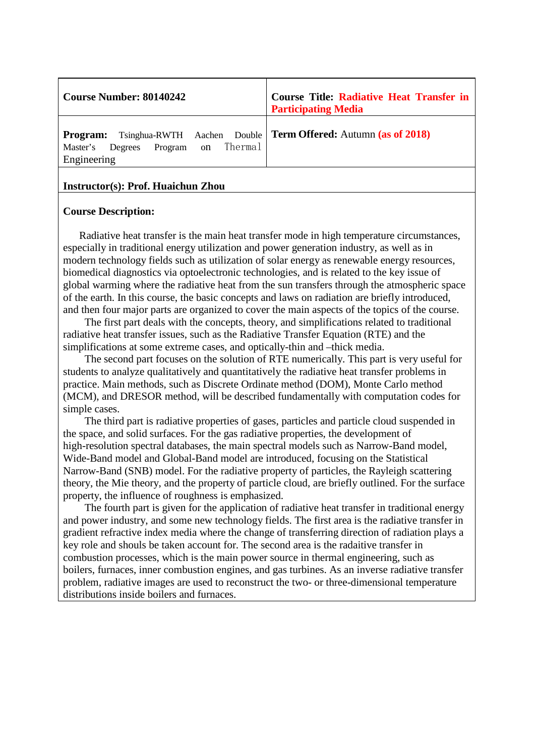| <b>Course Number: 80140242</b>                                              | <b>Course Title: Radiative Heat Transfer in</b><br><b>Participating Media</b> |
|-----------------------------------------------------------------------------|-------------------------------------------------------------------------------|
| <b>Program:</b><br>Program on Thermal<br>Degrees<br>Master's<br>Engineering | Tsinghua-RWTH Aachen Double   Term Offered: Autumn (as of 2018)               |

### **Instructor(s): Prof. Huaichun Zhou**

#### **Course Description:**

Radiative heat transfer is the main heat transfer mode in high temperature circumstances, especially in traditional energy utilization and power generation industry, as well as in modern technology fields such as utilization of solar energy as renewable energy resources, biomedical diagnostics via optoelectronic technologies, and is related to the key issue of global warming where the radiative heat from the sun transfers through the atmospheric space of the earth. In this course, the basic concepts and laws on radiation are briefly introduced, and then four major parts are organized to cover the main aspects of the topics of the course.

The first part deals with the concepts, theory, and simplifications related to traditional radiative heat transfer issues, such as the Radiative Transfer Equation (RTE) and the simplifications at some extreme cases, and optically-thin and –thick media.

The second part focuses on the solution of RTE numerically. This part is very useful for students to analyze qualitatively and quantitatively the radiative heat transfer problems in practice. Main methods, such as Discrete Ordinate method (DOM), Monte Carlo method (MCM), and DRESOR method, will be described fundamentally with computation codes for simple cases.

The third part is radiative properties of gases, particles and particle cloud suspended in the space, and solid surfaces. For the gas radiative properties, the development of high-resolution spectral databases, the main spectral models such as Narrow-Band model, Wide-Band model and Global-Band model are introduced, focusing on the Statistical Narrow-Band (SNB) model. For the radiative property of particles, the Rayleigh scattering theory, the Mie theory, and the property of particle cloud, are briefly outlined. For the surface property, the influence of roughness is emphasized.

The fourth part is given for the application of radiative heat transfer in traditional energy and power industry, and some new technology fields. The first area is the radiative transfer in gradient refractive index media where the change of transferring direction of radiation plays a key role and shouls be taken account for. The second area is the radaitive transfer in combustion processes, which is the main power source in thermal engineering, such as boilers, furnaces, inner combustion engines, and gas turbines. As an inverse radiative transfer problem, radiative images are used to reconstruct the two- or three-dimensional temperature distributions inside boilers and furnaces.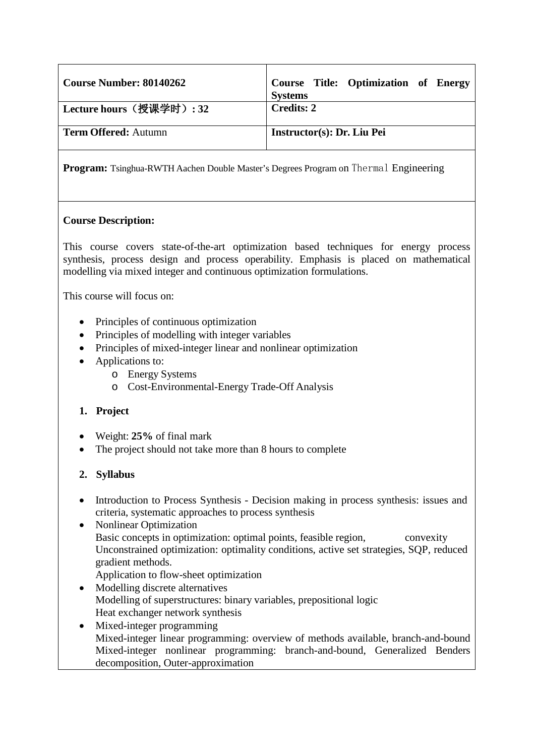| <b>Course Number: 80140262</b> | Course Title: Optimization of Energy<br><b>Systems</b> |
|--------------------------------|--------------------------------------------------------|
| Lecture hours (授课学时): 32       | <b>Credits: 2</b>                                      |
| <b>Term Offered: Autumn</b>    | Instructor(s): Dr. Liu Pei                             |

# **Course Description:**

This course covers state-of-the-art optimization based techniques for energy process synthesis, process design and process operability. Emphasis is placed on mathematical modelling via mixed integer and continuous optimization formulations.

This course will focus on:

- Principles of continuous optimization
- Principles of modelling with integer variables
- Principles of mixed-integer linear and nonlinear optimization
- Applications to:
	- o Energy Systems
	- o Cost-Environmental-Energy Trade-Off Analysis

# **1. Project**

- Weight: **25%** of final mark
- The project should not take more than 8 hours to complete

# **2. Syllabus**

- Introduction to Process Synthesis Decision making in process synthesis: issues and criteria, systematic approaches to process synthesis
- Nonlinear Optimization Basic concepts in optimization: optimal points, feasible region, convexity Unconstrained optimization: optimality conditions, active set strategies, SQP, reduced gradient methods. Application to flow-sheet optimization
- Modelling discrete alternatives Modelling of superstructures: binary variables, prepositional logic Heat exchanger network synthesis
- Mixed-integer programming Mixed-integer linear programming: overview of methods available, branch-and-bound Mixed-integer nonlinear programming: branch-and-bound, Generalized Benders decomposition, Outer-approximation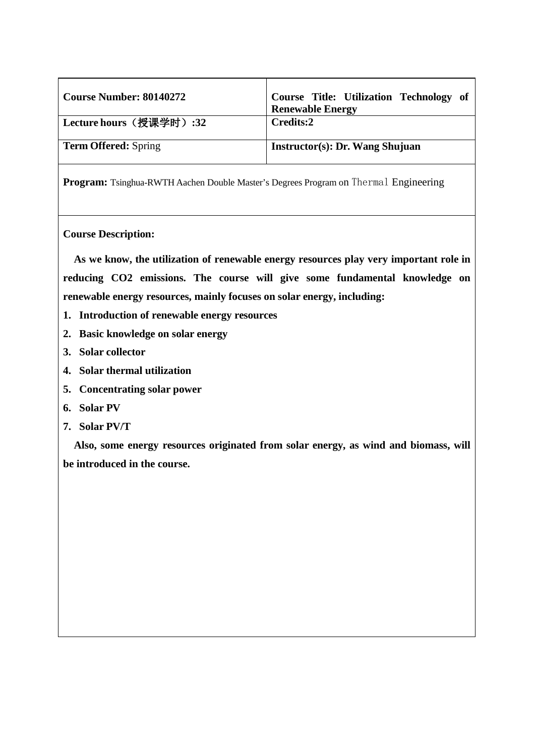| <b>Course Number: 80140272</b>  | Course Title: Utilization Technology of<br><b>Renewable Energy</b> |
|---------------------------------|--------------------------------------------------------------------|
| <b>' Lecture hours(授课学时):32</b> | Credits:2                                                          |
| <b>Term Offered:</b> Spring     | Instructor(s): Dr. Wang Shujuan                                    |

### **Course Description:**

**As we know, the utilization of renewable energy resources play very important role in reducing CO2 emissions. The course will give some fundamental knowledge on renewable energy resources, mainly focuses on solar energy, including:**

- **1. Introduction of renewable energy resources**
- **2. Basic knowledge on solar energy**
- **3. Solar collector**
- **4. Solar thermal utilization**
- **5. Concentrating solar power**
- **6. Solar PV**
- **7. Solar PV/T**

**Also, some energy resources originated from solar energy, as wind and biomass, will be introduced in the course.**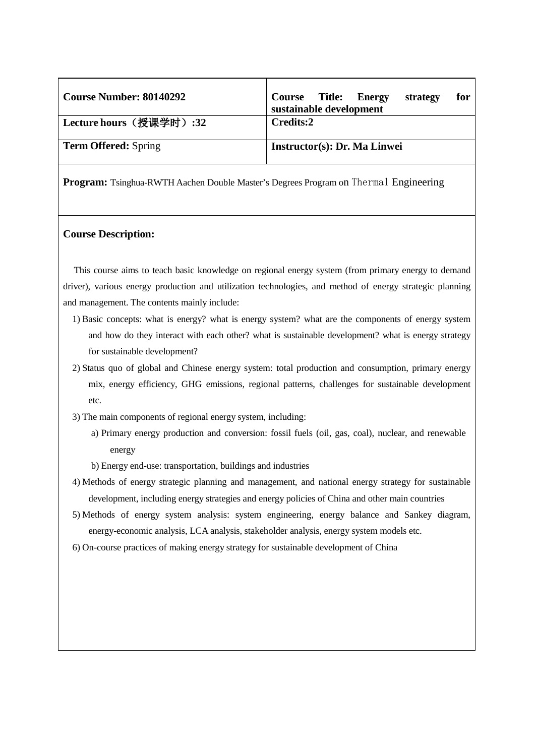| <b>Course Number: 80140292</b> | <b>Course</b> Title:<br><b>Energy</b><br>strategy<br>for<br>sustainable development |
|--------------------------------|-------------------------------------------------------------------------------------|
| Lecture hours(授课学时):32         | Credits:2                                                                           |
| <b>Term Offered:</b> Spring    | Instructor(s): Dr. Ma Linwei                                                        |

#### **Course Description:**

This course aims to teach basic knowledge on regional energy system (from primary energy to demand driver), various energy production and utilization technologies, and method of energy strategic planning and management. The contents mainly include:

- 1) Basic concepts: what is energy? what is energy system? what are the components of energy system and how do they interact with each other? what is sustainable development? what is energy strategy for sustainable development?
- 2) Status quo of global and Chinese energy system: total production and consumption, primary energy mix, energy efficiency, GHG emissions, regional patterns, challenges for sustainable development etc.
- 3) The main components of regional energy system, including:
	- a) Primary energy production and conversion: fossil fuels (oil, gas, coal), nuclear, and renewable energy
	- b) Energy end-use: transportation, buildings and industries
- 4) Methods of energy strategic planning and management, and national energy strategy for sustainable development, including energy strategies and energy policies of China and other main countries
- 5) Methods of energy system analysis: system engineering, energy balance and Sankey diagram, energy-economic analysis, LCA analysis, stakeholder analysis, energy system models etc.
- 6) On-course practices of making energy strategy for sustainable development of China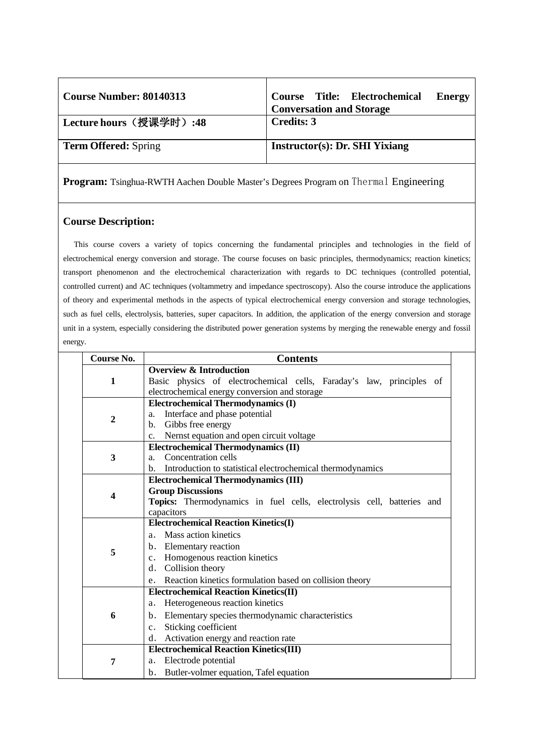| <b>Course Number: 80140313</b> | Course Title: Electrochemical<br><b>Energy</b><br><b>Conversation and Storage</b> |
|--------------------------------|-----------------------------------------------------------------------------------|
| Lecture hours (授课学时):48        | Credits: 3                                                                        |
| <b>Term Offered:</b> Spring    | Instructor(s): Dr. SHI Yixiang                                                    |

### **Course Description:**

This course covers a variety of topics concerning the fundamental principles and technologies in the field of electrochemical energy conversion and storage. The course focuses on basic principles, thermodynamics; reaction kinetics; transport phenomenon and the electrochemical characterization with regards to DC techniques (controlled potential, controlled current) and AC techniques (voltammetry and impedance spectroscopy). Also the course introduce the applications of theory and experimental methods in the aspects of typical electrochemical energy conversion and storage technologies, such as fuel cells, electrolysis, batteries, super capacitors. In addition, the application of the energy conversion and storage unit in a system, especially considering the distributed power generation systems by merging the renewable energy and fossil energy.

| Course No.   | <b>Contents</b>                                                                                                       |
|--------------|-----------------------------------------------------------------------------------------------------------------------|
|              | <b>Overview &amp; Introduction</b>                                                                                    |
| $\mathbf{1}$ | Basic physics of electrochemical cells, Faraday's law, principles of<br>electrochemical energy conversion and storage |
|              | <b>Electrochemical Thermodynamics (I)</b>                                                                             |
|              | Interface and phase potential<br>a.                                                                                   |
| $\mathbf{2}$ | Gibbs free energy<br>b.                                                                                               |
|              | Nernst equation and open circuit voltage<br>$\mathbf{c}$ .                                                            |
|              | <b>Electrochemical Thermodynamics (II)</b>                                                                            |
| 3            | Concentration cells<br>$a_{-}$                                                                                        |
|              | b. Introduction to statistical electrochemical thermodynamics                                                         |
|              | <b>Electrochemical Thermodynamics (III)</b>                                                                           |
| 4            | <b>Group Discussions</b>                                                                                              |
|              | Topics: Thermodynamics in fuel cells, electrolysis cell, batteries and                                                |
|              | capacitors                                                                                                            |
|              | <b>Electrochemical Reaction Kinetics(I)</b>                                                                           |
|              | a. Mass action kinetics                                                                                               |
| 5            | b. Elementary reaction                                                                                                |
|              | c. Homogenous reaction kinetics                                                                                       |
|              | d. Collision theory                                                                                                   |
|              | e. Reaction kinetics formulation based on collision theory                                                            |
|              | <b>Electrochemical Reaction Kinetics(II)</b>                                                                          |
|              | Heterogeneous reaction kinetics<br>a.                                                                                 |
| 6            | b. Elementary species thermodynamic characteristics                                                                   |
|              | Sticking coefficient<br>$c_{\cdot}$                                                                                   |
|              | d. Activation energy and reaction rate                                                                                |
|              | <b>Electrochemical Reaction Kinetics(III)</b>                                                                         |
| 7            | Electrode potential<br>a.                                                                                             |
|              | b. Butler-volmer equation, Tafel equation                                                                             |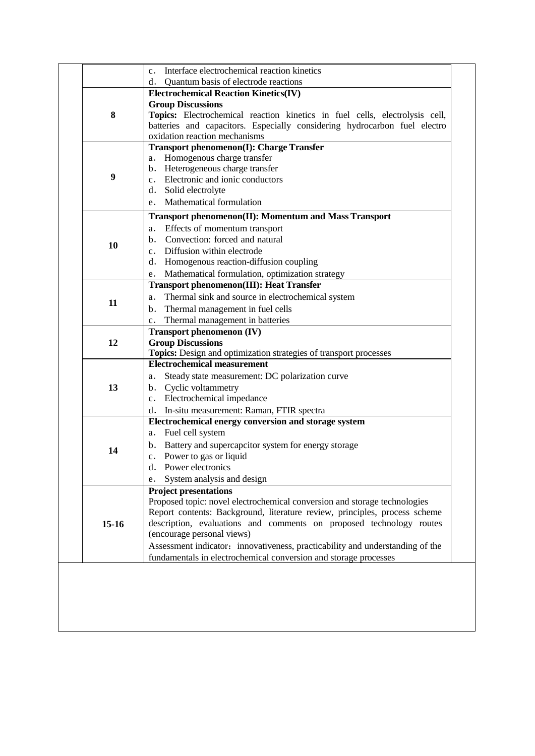| Interface electrochemical reaction kinetics                                   |
|-------------------------------------------------------------------------------|
|                                                                               |
| Quantum basis of electrode reactions                                          |
| <b>Electrochemical Reaction Kinetics(IV)</b>                                  |
|                                                                               |
| Topics: Electrochemical reaction kinetics in fuel cells, electrolysis cell,   |
| batteries and capacitors. Especially considering hydrocarbon fuel electro     |
|                                                                               |
| Transport phenomenon(I): Charge Transfer                                      |
|                                                                               |
|                                                                               |
|                                                                               |
|                                                                               |
|                                                                               |
| <b>Transport phenomenon(II): Momentum and Mass Transport</b>                  |
|                                                                               |
|                                                                               |
|                                                                               |
| Homogenous reaction-diffusion coupling                                        |
| Mathematical formulation, optimization strategy                               |
| <b>Transport phenomenon(III): Heat Transfer</b>                               |
| Thermal sink and source in electrochemical system                             |
|                                                                               |
|                                                                               |
|                                                                               |
|                                                                               |
| Topics: Design and optimization strategies of transport processes             |
|                                                                               |
| Steady state measurement: DC polarization curve                               |
|                                                                               |
|                                                                               |
| In-situ measurement: Raman, FTIR spectra                                      |
| Electrochemical energy conversion and storage system                          |
|                                                                               |
| Battery and supercapcitor system for energy storage                           |
|                                                                               |
|                                                                               |
|                                                                               |
|                                                                               |
| Proposed topic: novel electrochemical conversion and storage technologies     |
| Report contents: Background, literature review, principles, process scheme    |
| description, evaluations and comments on proposed technology routes           |
|                                                                               |
| Assessment indicator: innovativeness, practicability and understanding of the |
| fundamentals in electrochemical conversion and storage processes              |
|                                                                               |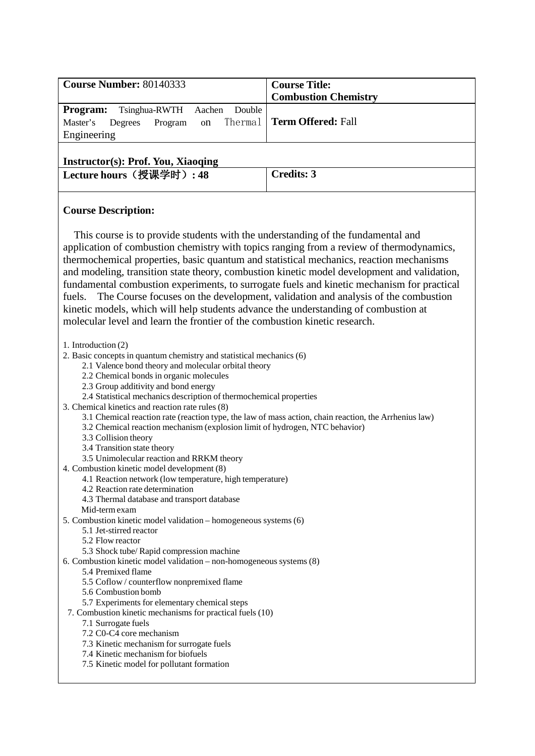| <b>Course Number: 80140333</b>                                                                                            | <b>Course Title:</b>        |
|---------------------------------------------------------------------------------------------------------------------------|-----------------------------|
|                                                                                                                           | <b>Combustion Chemistry</b> |
| <b>Program:</b> Tsinghua-RWTH Aachen Double<br>Program on Thermal   Term Offered: Fall<br>Master's Degrees<br>Engineering |                             |
| Instructor(s): Prof You Xiaoging                                                                                          |                             |

### **Instructor(s): Prof. You, Xiaoqing**

|  | Lecture hours (授课学时): 48 | Credits: 3 |
|--|--------------------------|------------|
|--|--------------------------|------------|

### **Course Description:**

This course is to provide students with the understanding of the fundamental and application of combustion chemistry with topics ranging from a review of thermodynamics, thermochemical properties, basic quantum and statistical mechanics, reaction mechanisms and modeling, transition state theory, combustion kinetic model development and validation, fundamental combustion experiments, to surrogate fuels and kinetic mechanism for practical fuels. The Course focuses on the development, validation and analysis of the combustion kinetic models, which will help students advance the understanding of combustion at molecular level and learn the frontier of the combustion kinetic research.

1. Introduction (2)

- 2. Basic concepts in quantum chemistry and statistical mechanics (6)
	- 2.1 Valence bond theory and molecular orbital theory
	- 2.2 Chemical bonds in organic molecules
	- 2.3 Group additivity and bond energy
	- 2.4 Statistical mechanics description of thermochemical properties
- 3. Chemical kinetics and reaction rate rules (8)
	- 3.1 Chemical reaction rate (reaction type, the law of mass action, chain reaction, the Arrhenius law)
	- 3.2 Chemical reaction mechanism (explosion limit of hydrogen, NTC behavior)
	- 3.3 Collision theory
		- 3.4 Transition state theory
	- 3.5 Unimolecular reaction and RRKM theory
- 4. Combustion kinetic model development (8)
	- 4.1 Reaction network (low temperature, high temperature)
	- 4.2 Reaction rate determination
	- 4.3 Thermal database and transport database
	- Mid-termexam
- 5. Combustion kinetic model validation homogeneous systems (6)
	- 5.1 Jet-stirred reactor
		- 5.2 Flow reactor
	- 5.3 Shock tube/ Rapid compression machine
- 6. Combustion kinetic model validation non-homogeneous systems (8)
	- 5.4 Premixed flame
	- 5.5 Coflow / counterflow nonpremixed flame
	- 5.6 Combustion bomb
	- 5.7 Experiments for elementary chemical steps
- 7. Combustion kinetic mechanisms for practical fuels (10)
	- 7.1 Surrogate fuels
		- 7.2 C0-C4 core mechanism
		- 7.3 Kinetic mechanism for surrogate fuels
		- 7.4 Kinetic mechanism for biofuels
		- 7.5 Kinetic model for pollutant formation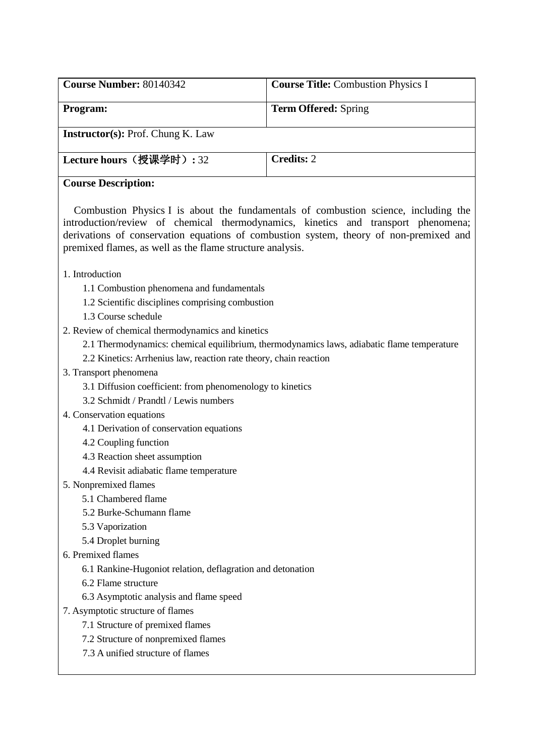| <b>Course Number: 80140342</b>           | <b>Course Title: Combustion Physics I</b> |
|------------------------------------------|-------------------------------------------|
| Program:                                 | <b>Term Offered:</b> Spring               |
| <b>Instructor(s): Prof. Chung K. Law</b> |                                           |
| Lecture hours (授课学时): 32                 | <b>Credits: 2</b>                         |
| <b>Course Description:</b>               |                                           |

Combustion Physics I is about the fundamentals of combustion science, including the introduction/review of chemical thermodynamics, kinetics and transport phenomena; derivations of conservation equations of combustion system, theory of non-premixed and premixed flames, as well as the flame structure analysis.

### 1. Introduction

- 1.1 Combustion phenomena and fundamentals
- 1.2 Scientific disciplines comprising combustion
- 1.3 Course schedule
- 2. Review of chemical thermodynamics and kinetics
	- 2.1 Thermodynamics: chemical equilibrium, thermodynamics laws, adiabatic flame temperature
	- 2.2 Kinetics: Arrhenius law, reaction rate theory, chain reaction
- 3. Transport phenomena
	- 3.1 Diffusion coefficient: from phenomenology to kinetics
	- 3.2 Schmidt / Prandtl / Lewis numbers
- 4. Conservation equations
	- 4.1 Derivation of conservation equations
	- 4.2 Coupling function
	- 4.3 Reaction sheet assumption
	- 4.4 Revisit adiabatic flame temperature
- 5. Nonpremixed flames
	- 5.1 Chambered flame
	- 5.2 Burke-Schumann flame
	- 5.3 Vaporization
	- 5.4 Droplet burning
- 6. Premixed flames
	- 6.1 Rankine-Hugoniot relation, deflagration and detonation
	- 6.2 Flame structure
	- 6.3 Asymptotic analysis and flame speed
- 7. Asymptotic structure of flames
	- 7.1 Structure of premixed flames
	- 7.2 Structure of nonpremixed flames
	- 7.3 A unified structure of flames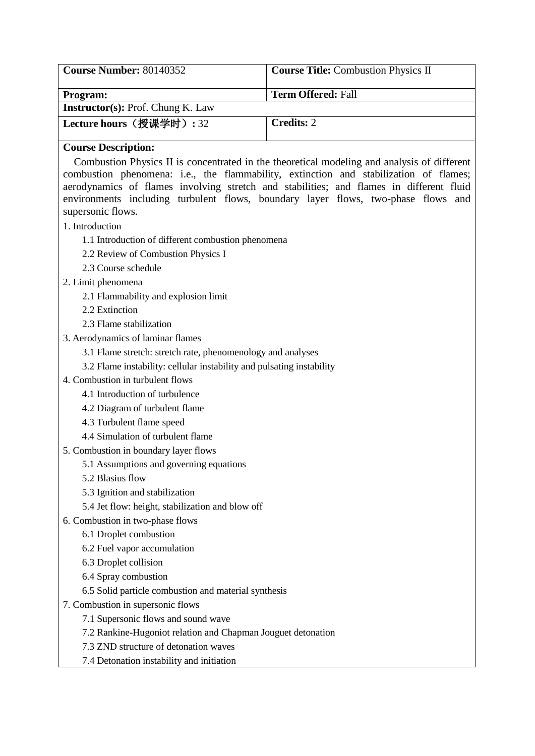| <b>Course Number: 80140352</b>           | <b>Course Title:</b> Combustion Physics II |
|------------------------------------------|--------------------------------------------|
| <b>Program:</b>                          | <b>Term Offered: Fall</b>                  |
| <b>Instructor(s): Prof. Chung K. Law</b> |                                            |
| Lecture hours (授课学时): 32                 | <b>Credits: 2</b>                          |

Combustion Physics II is concentrated in the theoretical modeling and analysis of different combustion phenomena: i.e., the flammability, extinction and stabilization of flames; aerodynamics of flames involving stretch and stabilities; and flames in different fluid environments including turbulent flows, boundary layer flows, two-phase flows and supersonic flows.

- 1. Introduction
	- 1.1 Introduction of different combustion phenomena
	- 2.2 Review of Combustion Physics I
	- 2.3 Course schedule
- 2. Limit phenomena
	- 2.1 Flammability and explosion limit
	- 2.2 Extinction
	- 2.3 Flame stabilization
- 3. Aerodynamics of laminar flames
	- 3.1 Flame stretch: stretch rate, phenomenology and analyses
	- 3.2 Flame instability: cellular instability and pulsating instability
- 4. Combustion in turbulent flows
	- 4.1 Introduction of turbulence
	- 4.2 Diagram of turbulent flame
	- 4.3 Turbulent flame speed
	- 4.4 Simulation of turbulent flame
- 5. Combustion in boundary layer flows
	- 5.1 Assumptions and governing equations
	- 5.2 Blasius flow
	- 5.3 Ignition and stabilization
	- 5.4 Jet flow: height, stabilization and blow off
- 6. Combustion in two-phase flows
	- 6.1 Droplet combustion
	- 6.2 Fuel vapor accumulation
	- 6.3 Droplet collision
	- 6.4 Spray combustion
	- 6.5 Solid particle combustion and material synthesis
- 7. Combustion in supersonic flows
	- 7.1 Supersonic flows and sound wave
	- 7.2 Rankine-Hugoniot relation and Chapman Jouguet detonation
	- 7.3 ZND structure of detonation waves
	- 7.4 Detonation instability and initiation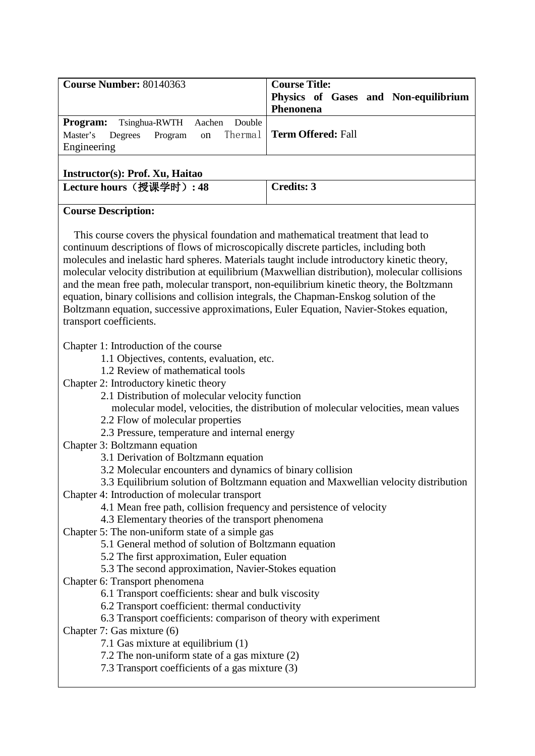| Course Number: 80140363                                                                                                                                                                                                                                                                                                                                                                                                                                                                                                                                                                                                                                                                                                                                                                                                                                                                                                                                                                                                                                                                                                                                                                                                                     | <b>Course Title:</b><br>Physics of Gases and Non-equilibrium<br>Phenonena                                                                                                 |
|---------------------------------------------------------------------------------------------------------------------------------------------------------------------------------------------------------------------------------------------------------------------------------------------------------------------------------------------------------------------------------------------------------------------------------------------------------------------------------------------------------------------------------------------------------------------------------------------------------------------------------------------------------------------------------------------------------------------------------------------------------------------------------------------------------------------------------------------------------------------------------------------------------------------------------------------------------------------------------------------------------------------------------------------------------------------------------------------------------------------------------------------------------------------------------------------------------------------------------------------|---------------------------------------------------------------------------------------------------------------------------------------------------------------------------|
| Program:<br>Double<br>Tsinghua-RWTH<br>Aachen<br>Thermal<br>Master's<br>Degrees<br>Program<br>on<br>Engineering                                                                                                                                                                                                                                                                                                                                                                                                                                                                                                                                                                                                                                                                                                                                                                                                                                                                                                                                                                                                                                                                                                                             | <b>Term Offered: Fall</b>                                                                                                                                                 |
| Instructor(s): Prof. Xu, Haitao                                                                                                                                                                                                                                                                                                                                                                                                                                                                                                                                                                                                                                                                                                                                                                                                                                                                                                                                                                                                                                                                                                                                                                                                             |                                                                                                                                                                           |
| Lecture hours (授课学时): 48                                                                                                                                                                                                                                                                                                                                                                                                                                                                                                                                                                                                                                                                                                                                                                                                                                                                                                                                                                                                                                                                                                                                                                                                                    | <b>Credits: 3</b>                                                                                                                                                         |
| <b>Course Description:</b>                                                                                                                                                                                                                                                                                                                                                                                                                                                                                                                                                                                                                                                                                                                                                                                                                                                                                                                                                                                                                                                                                                                                                                                                                  |                                                                                                                                                                           |
| This course covers the physical foundation and mathematical treatment that lead to<br>continuum descriptions of flows of microscopically discrete particles, including both<br>molecules and inelastic hard spheres. Materials taught include introductory kinetic theory,<br>molecular velocity distribution at equilibrium (Maxwellian distribution), molecular collisions<br>and the mean free path, molecular transport, non-equilibrium kinetic theory, the Boltzmann<br>equation, binary collisions and collision integrals, the Chapman-Enskog solution of the<br>Boltzmann equation, successive approximations, Euler Equation, Navier-Stokes equation,<br>transport coefficients.                                                                                                                                                                                                                                                                                                                                                                                                                                                                                                                                                  |                                                                                                                                                                           |
| Chapter 1: Introduction of the course<br>1.1 Objectives, contents, evaluation, etc.<br>1.2 Review of mathematical tools<br>Chapter 2: Introductory kinetic theory<br>2.1 Distribution of molecular velocity function<br>2.2 Flow of molecular properties<br>2.3 Pressure, temperature and internal energy<br>Chapter 3: Boltzmann equation<br>3.1 Derivation of Boltzmann equation<br>3.2 Molecular encounters and dynamics of binary collision<br>Chapter 4: Introduction of molecular transport<br>4.1 Mean free path, collision frequency and persistence of velocity<br>4.3 Elementary theories of the transport phenomena<br>Chapter 5: The non-uniform state of a simple gas<br>5.1 General method of solution of Boltzmann equation<br>5.2 The first approximation, Euler equation<br>5.3 The second approximation, Navier-Stokes equation<br>Chapter 6: Transport phenomena<br>6.1 Transport coefficients: shear and bulk viscosity<br>6.2 Transport coefficient: thermal conductivity<br>6.3 Transport coefficients: comparison of theory with experiment<br>Chapter 7: Gas mixture (6)<br>7.1 Gas mixture at equilibrium (1)<br>7.2 The non-uniform state of a gas mixture (2)<br>7.3 Transport coefficients of a gas mixture (3) | molecular model, velocities, the distribution of molecular velocities, mean values<br>3.3 Equilibrium solution of Boltzmann equation and Maxwellian velocity distribution |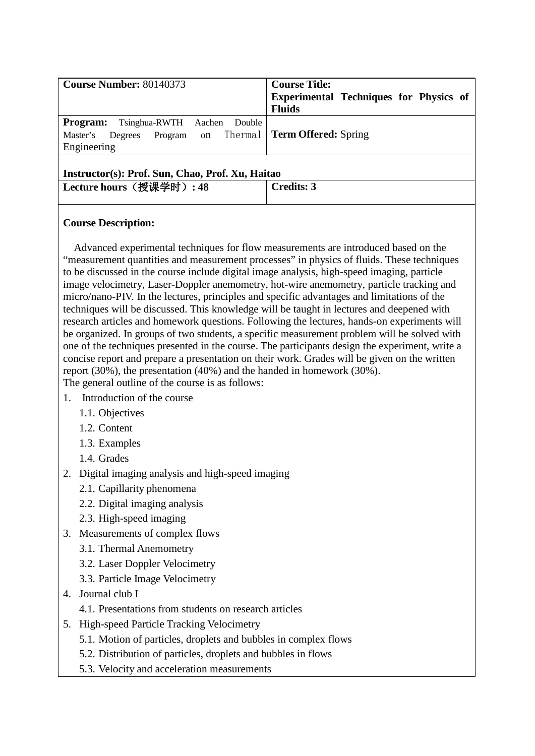| <b>Program:</b> Tsinghua-RWTH Aachen Double<br>Program on Thermal   Term Offered: Spring<br>Master's Degrees<br>Engineering | <b>Course Number: 80140373</b> | <b>Course Title:</b><br><b>Experimental Techniques for Physics of</b><br><b>Fluids</b> |
|-----------------------------------------------------------------------------------------------------------------------------|--------------------------------|----------------------------------------------------------------------------------------|
|                                                                                                                             |                                |                                                                                        |

### **Instructor(s): Prof. Sun, Chao, Prof. Xu, Haitao**

| Lecture hours (授课学时): 48 |  | <b>Credits: 3</b> |
|--------------------------|--|-------------------|

# **Course Description:**

Advanced experimental techniques for flow measurements are introduced based on the "measurement quantities and measurement processes" in physics of fluids. These techniques to be discussed in the course include digital image analysis, high-speed imaging, particle image velocimetry, Laser-Doppler anemometry, hot-wire anemometry, particle tracking and micro/nano-PIV. In the lectures, principles and specific advantages and limitations of the techniques will be discussed. This knowledge will be taught in lectures and deepened with research articles and homework questions. Following the lectures, hands-on experiments will be organized. In groups of two students, a specific measurement problem will be solved with one of the techniques presented in the course. The participants design the experiment, write a concise report and prepare a presentation on their work. Grades will be given on the written report (30%), the presentation (40%) and the handed in homework (30%). The general outline of the course is as follows:

- 1. Introduction of the course
	- 1.1. Objectives
	- 1.2. Content
	- 1.3. Examples
	- 1.4. Grades
- 2. Digital imaging analysis and high-speed imaging
	- 2.1. Capillarity phenomena
	- 2.2. Digital imaging analysis
	- 2.3. High-speed imaging
- 3. Measurements of complex flows
	- 3.1. Thermal Anemometry
	- 3.2. Laser Doppler Velocimetry
	- 3.3. Particle Image Velocimetry
- 4. Journal club I
	- 4.1. Presentations from students on research articles
- 5. High-speed Particle Tracking Velocimetry
	- 5.1. Motion of particles, droplets and bubbles in complex flows
	- 5.2. Distribution of particles, droplets and bubbles in flows
	- 5.3. Velocity and acceleration measurements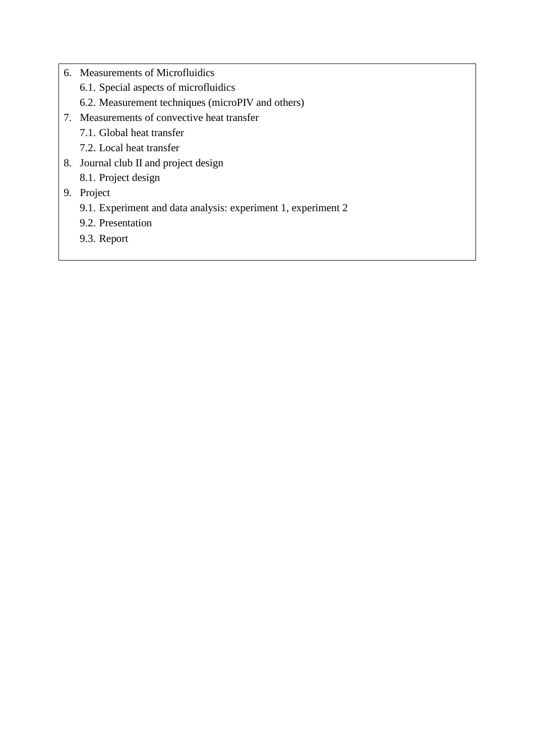- 6. Measurements of Microfluidics
	- 6.1. Special aspects of microfluidics
	- 6.2. Measurement techniques (microPIV and others)
- 7. Measurements of convective heat transfer
	- 7.1. Global heat transfer
	- 7.2. Local heat transfer
- 8. Journal club II and project design
	- 8.1. Project design

# 9. Project

- 9.1. Experiment and data analysis: experiment 1, experiment 2
- 9.2. Presentation
- 9.3. Report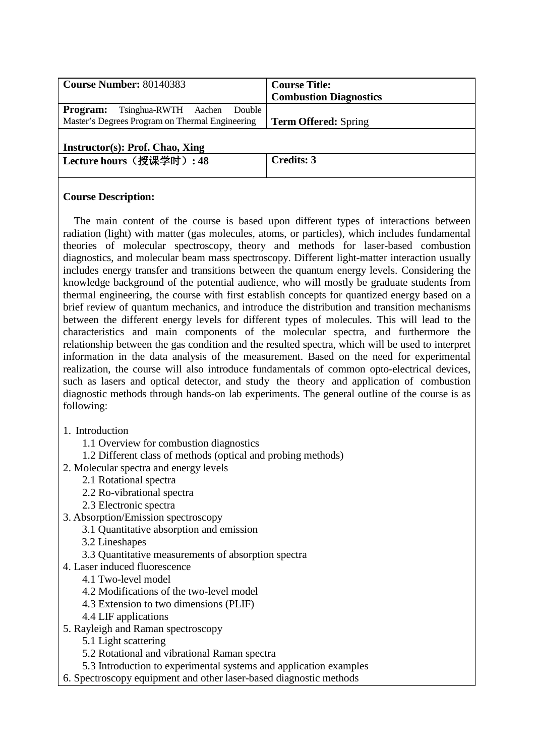| <b>Course Number: 80140383</b>                    | <b>Course Title:</b>          |
|---------------------------------------------------|-------------------------------|
|                                                   | <b>Combustion Diagnostics</b> |
| Double<br>Tsinghua-RWTH Aachen<br><b>Program:</b> |                               |
| Master's Degrees Program on Thermal Engineering   | <b>Term Offered:</b> Spring   |
|                                                   |                               |
| Instructor(s): Prof. Chao, Xing                   |                               |
| Lecture hours (授课学时): 48                          | Credits: 3                    |
|                                                   |                               |
|                                                   |                               |

The main content of the course is based upon different types of interactions between radiation (light) with matter (gas molecules, atoms, or particles), which includes fundamental theories of molecular spectroscopy, theory and methods for laser-based combustion diagnostics, and molecular beam mass spectroscopy. Different light-matter interaction usually includes energy transfer and transitions between the quantum energy levels. Considering the knowledge background of the potential audience, who will mostly be graduate students from thermal engineering, the course with first establish concepts for quantized energy based on a brief review of quantum mechanics, and introduce the distribution and transition mechanisms between the different energy levels for different types of molecules. This will lead to the characteristics and main components of the molecular spectra, and furthermore the relationship between the gas condition and the resulted spectra, which will be used to interpret information in the data analysis of the measurement. Based on the need for experimental realization, the course will also introduce fundamentals of common opto-electrical devices, such as lasers and optical detector, and study the theory and application of combustion diagnostic methods through hands-on lab experiments. The general outline of the course is as following:

- 1. Introduction
	- 1.1 Overview for combustion diagnostics
	- 1.2 Different class of methods (optical and probing methods)
- 2. Molecular spectra and energy levels
	- 2.1 Rotational spectra
	- 2.2 Ro-vibrational spectra
	- 2.3 Electronic spectra
- 3. Absorption/Emission spectroscopy
	- 3.1 Quantitative absorption and emission
	- 3.2 Lineshapes
	- 3.3 Quantitative measurements of absorption spectra
- 4. Laser induced fluorescence
	- 4.1 Two-level model
	- 4.2 Modifications of the two-level model
	- 4.3 Extension to two dimensions (PLIF)
	- 4.4 LIF applications
- 5. Rayleigh and Raman spectroscopy
	- 5.1 Light scattering
	- 5.2 Rotational and vibrational Raman spectra
	- 5.3 Introduction to experimental systems and application examples
- 6. Spectroscopy equipment and other laser-based diagnostic methods